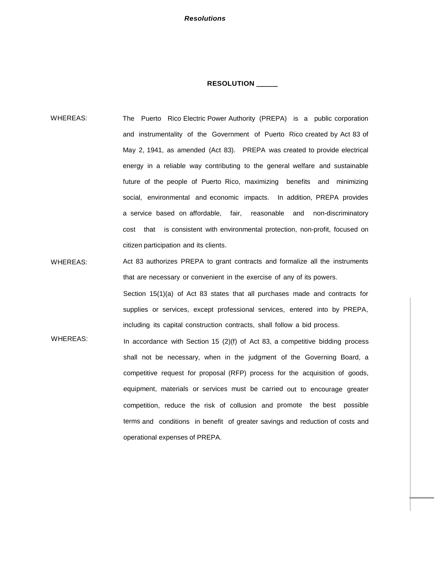## **RESOLUTION**

- WHEREAS: The Puerto Rico Electric Power Authority (PREPA) is a public corporation and instrumentality of the Government of Puerto Rico created by Act 83 of May 2, 1941, as amended (Act 83). PREPA was created to provide electrical energy in a reliable way contributing to the general welfare and sustainable future of the people of Puerto Rico, maximizing benefits and minimizing social, environmental and economic impacts. In addition, PREPA provides a service based on affordable, fair, reasonable and non-discriminatory cost that is consistent with environmental protection, non-profit, focused on citizen participation and its clients.
- WHEREAS: Act 83 authorizes PREPA to grant contracts and formalize all the instruments that are necessary or convenient in the exercise of any of its powers. Section 15(1)(a) of Act 83 states that all purchases made and contracts for supplies or services, except professional services, entered into by PREPA, including its capital construction contracts, shall follow a bid process.
- WHEREAS: In accordance with Section 15 (2)(f) of Act 83, a competitive bidding process shall not be necessary, when in the judgment of the Governing Board, a competitive request for proposal (RFP) process for the acquisition of goods, equipment, materials or services must be carried out to encourage greater competition, reduce the risk of collusion and promote the best possible terms and conditions in benefit of greater savings and reduction of costs and operational expenses of PREPA.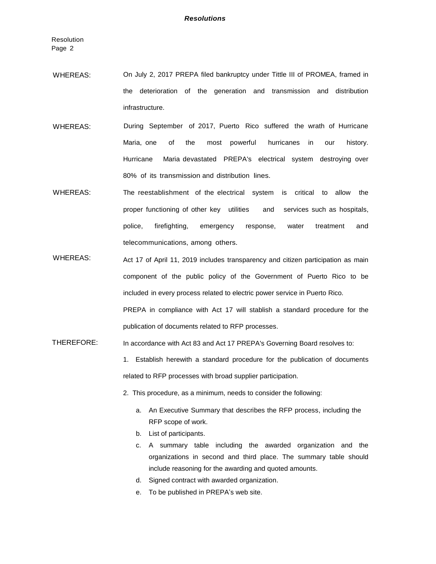- WHEREAS: On July 2, 2017 PREPA filed bankruptcy under Tittle III of PROMEA, framed in the deterioration of the generation and transmission and distribution infrastructure.
- WHEREAS: During September of 2017, Puerto Rico suffered the wrath of Hurricane Maria, one of the most powerful hurricanes in our history. Hurricane Maria devastated PREPA's electrical system destroying over 80% of its transmission and distribution lines.
- WHEREAS: The reestablishment of the electrical system is critical to allow the proper functioning of other key utilities and services such as hospitals, police, firefighting, emergency response, water treatment and telecommunications, among others.
- WHEREAS: Act 17 of April 11, 2019 includes transparency and citizen participation as main component of the public policy of the Government of Puerto Rico to be included in every process related to electric power service in Puerto Rico. PREPA in compliance with Act 17 will stablish a standard procedure for the publication of documents related to RFP processes.
- THEREFORE: In accordance with Act 83 and Act 17 PREPA's Governing Board resolves to:
	- 1. Establish herewith a standard procedure for the publication of documents related to RFP processes with broad supplier participation.
	- 2. This procedure, as a minimum, needs to consider the following:
		- a. An Executive Summary that describes the RFP process, including the RFP scope of work.
		- b. List of participants.
		- c. A summary table including the awarded organization and the organizations in second and third place. The summary table should include reasoning for the awarding and quoted amounts.
		- d. Signed contract with awarded organization.
		- e. To be published in PREPA's web site.